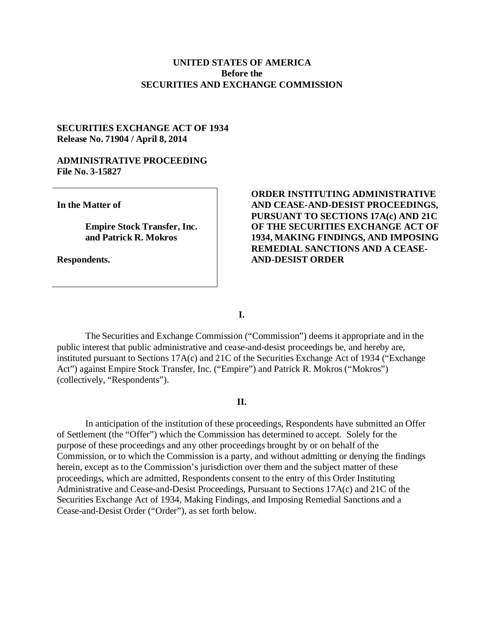## **UNITED STATES OF AMERICA Before the SECURITIES AND EXCHANGE COMMISSION**

## **SECURITIES EXCHANGE ACT OF 1934 Release No. 71904 / April 8, 2014**

### **ADMINISTRATIVE PROCEEDING File No. 3-15827**

**In the Matter of**

**Empire Stock Transfer, Inc. and Patrick R. Mokros**

**Respondents.**

# **ORDER INSTITUTING ADMINISTRATIVE AND CEASE-AND-DESIST PROCEEDINGS, PURSUANT TO SECTIONS 17A(c) AND 21C OF THE SECURITIES EXCHANGE ACT OF 1934, MAKING FINDINGS, AND IMPOSING REMEDIAL SANCTIONS AND A CEASE-AND-DESIST ORDER**

**I.**

The Securities and Exchange Commission ("Commission") deems it appropriate and in the public interest that public administrative and cease-and-desist proceedings be, and hereby are, instituted pursuant to Sections 17A(c) and 21C of the Securities Exchange Act of 1934 ("Exchange Act") against Empire Stock Transfer, Inc. ("Empire") and Patrick R. Mokros ("Mokros") (collectively, "Respondents").

### **II.**

In anticipation of the institution of these proceedings, Respondents have submitted an Offer of Settlement (the "Offer") which the Commission has determined to accept. Solely for the purpose of these proceedings and any other proceedings brought by or on behalf of the Commission, or to which the Commission is a party, and without admitting or denying the findings herein, except as to the Commission's jurisdiction over them and the subject matter of these proceedings, which are admitted, Respondents consent to the entry of this Order Instituting Administrative and Cease-and-Desist Proceedings, Pursuant to Sections 17A(c) and 21C of the Securities Exchange Act of 1934, Making Findings, and Imposing Remedial Sanctions and a Cease-and-Desist Order ("Order"), as set forth below.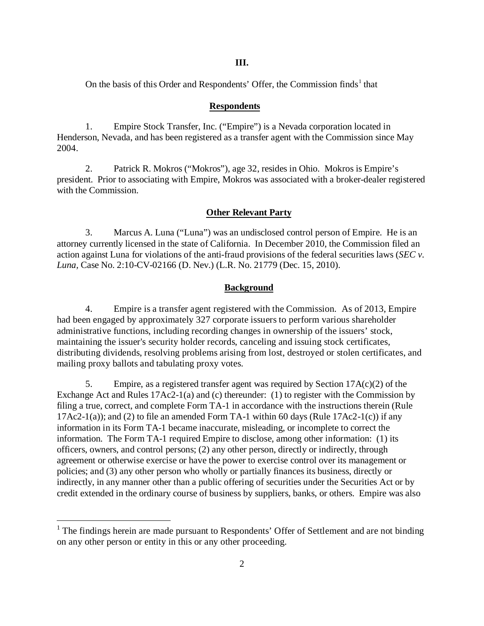**III.**

On the basis of this Order and Respondents' Offer, the Commission finds<sup>1</sup> that

#### **Respondents**

1. Empire Stock Transfer, Inc. ("Empire") is a Nevada corporation located in Henderson, Nevada, and has been registered as a transfer agent with the Commission since May 2004.

2. Patrick R. Mokros ("Mokros"), age 32, resides in Ohio. Mokros is Empire's president. Prior to associating with Empire, Mokros was associated with a broker-dealer registered with the Commission.

#### **Other Relevant Party**

3. Marcus A. Luna ("Luna") was an undisclosed control person of Empire. He is an attorney currently licensed in the state of California. In December 2010, the Commission filed an action against Luna for violations of the anti-fraud provisions of the federal securities laws (*SEC v. Luna,* Case No. 2:10-CV-02166 (D. Nev.) (L.R. No. 21779 (Dec. 15, 2010).

#### **Background**

4. Empire is a transfer agent registered with the Commission. As of 2013, Empire had been engaged by approximately 327 corporate issuers to perform various shareholder administrative functions, including recording changes in ownership of the issuers' stock, maintaining the issuer's security holder records, canceling and issuing stock certificates, distributing dividends, resolving problems arising from lost, destroyed or stolen certificates, and mailing proxy ballots and tabulating proxy votes.

5. Empire, as a registered transfer agent was required by Section 17A(c)(2) of the Exchange Act and Rules 17Ac2-1(a) and (c) thereunder: (1) to register with the Commission by filing a true, correct, and complete Form TA-1 in accordance with the instructions therein (Rule 17Ac2-1(a)); and (2) to file an amended Form TA-1 within 60 days (Rule 17Ac2-1(c)) if any information in its Form TA-1 became inaccurate, misleading, or incomplete to correct the information. The Form TA-1 required Empire to disclose, among other information: (1) its officers, owners, and control persons; (2) any other person, directly or indirectly, through agreement or otherwise exercise or have the power to exercise control over its management or policies; and (3) any other person who wholly or partially finances its business, directly or indirectly, in any manner other than a public offering of securities under the Securities Act or by credit extended in the ordinary course of business by suppliers, banks, or others. Empire was also

 $<sup>1</sup>$  The findings herein are made pursuant to Respondents' Offer of Settlement and are not binding</sup> on any other person or entity in this or any other proceeding.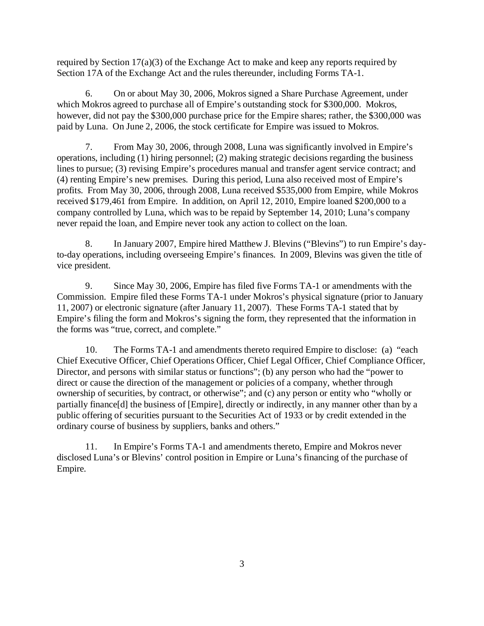required by Section 17(a)(3) of the Exchange Act to make and keep any reports required by Section 17A of the Exchange Act and the rules thereunder, including Forms TA-1.

6. On or about May 30, 2006, Mokros signed a Share Purchase Agreement, under which Mokros agreed to purchase all of Empire's outstanding stock for \$300,000. Mokros, however, did not pay the \$300,000 purchase price for the Empire shares; rather, the \$300,000 was paid by Luna. On June 2, 2006, the stock certificate for Empire was issued to Mokros.

7. From May 30, 2006, through 2008, Luna was significantly involved in Empire's operations, including (1) hiring personnel; (2) making strategic decisions regarding the business lines to pursue; (3) revising Empire's procedures manual and transfer agent service contract; and (4) renting Empire's new premises. During this period, Luna also received most of Empire's profits. From May 30, 2006, through 2008, Luna received \$535,000 from Empire, while Mokros received \$179,461 from Empire. In addition, on April 12, 2010, Empire loaned \$200,000 to a company controlled by Luna, which was to be repaid by September 14, 2010; Luna's company never repaid the loan, and Empire never took any action to collect on the loan.

8. In January 2007, Empire hired Matthew J. Blevins ("Blevins") to run Empire's dayto-day operations, including overseeing Empire's finances. In 2009, Blevins was given the title of vice president.

9. Since May 30, 2006, Empire has filed five Forms TA-1 or amendments with the Commission. Empire filed these Forms TA-1 under Mokros's physical signature (prior to January 11, 2007) or electronic signature (after January 11, 2007). These Forms TA-1 stated that by Empire's filing the form and Mokros's signing the form, they represented that the information in the forms was "true, correct, and complete."

10. The Forms TA-1 and amendments thereto required Empire to disclose: (a) "each Chief Executive Officer, Chief Operations Officer, Chief Legal Officer, Chief Compliance Officer, Director, and persons with similar status or functions"; (b) any person who had the "power to direct or cause the direction of the management or policies of a company, whether through ownership of securities, by contract, or otherwise"; and (c) any person or entity who "wholly or partially finance[d] the business of [Empire], directly or indirectly, in any manner other than by a public offering of securities pursuant to the Securities Act of 1933 or by credit extended in the ordinary course of business by suppliers, banks and others."

11. In Empire's Forms TA-1 and amendments thereto, Empire and Mokros never disclosed Luna's or Blevins' control position in Empire or Luna's financing of the purchase of Empire.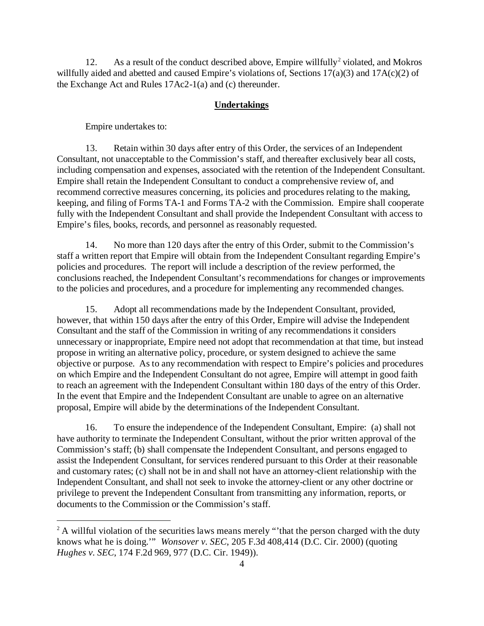12. As a result of the conduct described above, Empire willfully<sup>2</sup> violated, and Mokros willfully aided and abetted and caused Empire's violations of, Sections 17(a)(3) and 17A(c)(2) of the Exchange Act and Rules 17Ac2-1(a) and (c) thereunder.

#### **Undertakings**

Empire undertakes to:

13. Retain within 30 days after entry of this Order, the services of an Independent Consultant, not unacceptable to the Commission's staff, and thereafter exclusively bear all costs, including compensation and expenses, associated with the retention of the Independent Consultant. Empire shall retain the Independent Consultant to conduct a comprehensive review of, and recommend corrective measures concerning, its policies and procedures relating to the making, keeping, and filing of Forms TA-1 and Forms TA-2 with the Commission. Empire shall cooperate fully with the Independent Consultant and shall provide the Independent Consultant with access to Empire's files, books, records, and personnel as reasonably requested.

14. No more than 120 days after the entry of this Order, submit to the Commission's staff a written report that Empire will obtain from the Independent Consultant regarding Empire's policies and procedures. The report will include a description of the review performed, the conclusions reached, the Independent Consultant's recommendations for changes or improvements to the policies and procedures, and a procedure for implementing any recommended changes.

15. Adopt all recommendations made by the Independent Consultant, provided, however, that within 150 days after the entry of this Order, Empire will advise the Independent Consultant and the staff of the Commission in writing of any recommendations it considers unnecessary or inappropriate, Empire need not adopt that recommendation at that time, but instead propose in writing an alternative policy, procedure, or system designed to achieve the same objective or purpose. As to any recommendation with respect to Empire's policies and procedures on which Empire and the Independent Consultant do not agree, Empire will attempt in good faith to reach an agreement with the Independent Consultant within 180 days of the entry of this Order. In the event that Empire and the Independent Consultant are unable to agree on an alternative proposal, Empire will abide by the determinations of the Independent Consultant.

16. To ensure the independence of the Independent Consultant, Empire: (a) shall not have authority to terminate the Independent Consultant, without the prior written approval of the Commission's staff; (b) shall compensate the Independent Consultant, and persons engaged to assist the Independent Consultant, for services rendered pursuant to this Order at their reasonable and customary rates; (c) shall not be in and shall not have an attorney-client relationship with the Independent Consultant, and shall not seek to invoke the attorney-client or any other doctrine or privilege to prevent the Independent Consultant from transmitting any information, reports, or documents to the Commission or the Commission's staff.

 $2^2$  A willful violation of the securities laws means merely "that the person charged with the duty knows what he is doing.'" *Wonsover v. SEC*, 205 F.3d 408,414 (D.C. Cir. 2000) (quoting *Hughes v. SEC*, 174 F.2d 969, 977 (D.C. Cir. 1949)).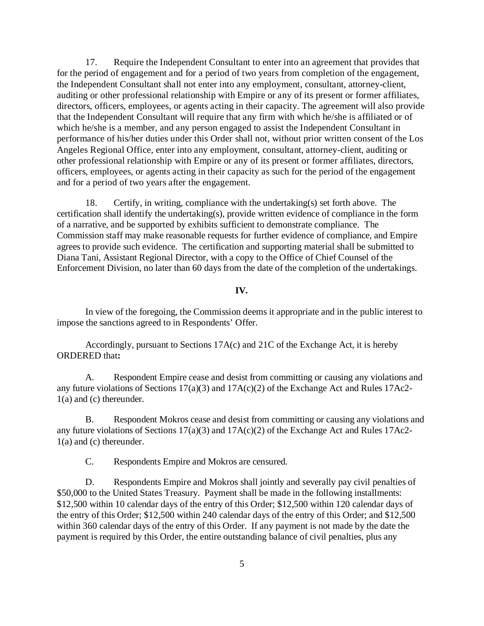17. Require the Independent Consultant to enter into an agreement that provides that for the period of engagement and for a period of two years from completion of the engagement, the Independent Consultant shall not enter into any employment, consultant, attorney-client, auditing or other professional relationship with Empire or any of its present or former affiliates, directors, officers, employees, or agents acting in their capacity. The agreement will also provide that the Independent Consultant will require that any firm with which he/she is affiliated or of which he/she is a member, and any person engaged to assist the Independent Consultant in performance of his/her duties under this Order shall not, without prior written consent of the Los Angeles Regional Office, enter into any employment, consultant, attorney-client, auditing or other professional relationship with Empire or any of its present or former affiliates, directors, officers, employees, or agents acting in their capacity as such for the period of the engagement and for a period of two years after the engagement.

18. Certify, in writing, compliance with the undertaking(s) set forth above. The certification shall identify the undertaking(s), provide written evidence of compliance in the form of a narrative, and be supported by exhibits sufficient to demonstrate compliance. The Commission staff may make reasonable requests for further evidence of compliance, and Empire agrees to provide such evidence. The certification and supporting material shall be submitted to Diana Tani, Assistant Regional Director, with a copy to the Office of Chief Counsel of the Enforcement Division, no later than 60 days from the date of the completion of the undertakings.

#### **IV.**

In view of the foregoing, the Commission deems it appropriate and in the public interest to impose the sanctions agreed to in Respondents' Offer.

Accordingly, pursuant to Sections 17A(c) and 21C of the Exchange Act, it is hereby ORDERED that**:**

A. Respondent Empire cease and desist from committing or causing any violations and any future violations of Sections 17(a)(3) and 17A(c)(2) of the Exchange Act and Rules 17Ac2- 1(a) and (c) thereunder.

B. Respondent Mokros cease and desist from committing or causing any violations and any future violations of Sections 17(a)(3) and 17A(c)(2) of the Exchange Act and Rules 17Ac2- 1(a) and (c) thereunder.

C. Respondents Empire and Mokros are censured.

D. Respondents Empire and Mokros shall jointly and severally pay civil penalties of \$50,000 to the United States Treasury. Payment shall be made in the following installments: \$12,500 within 10 calendar days of the entry of this Order; \$12,500 within 120 calendar days of the entry of this Order; \$12,500 within 240 calendar days of the entry of this Order; and \$12,500 within 360 calendar days of the entry of this Order. If any payment is not made by the date the payment is required by this Order, the entire outstanding balance of civil penalties, plus any